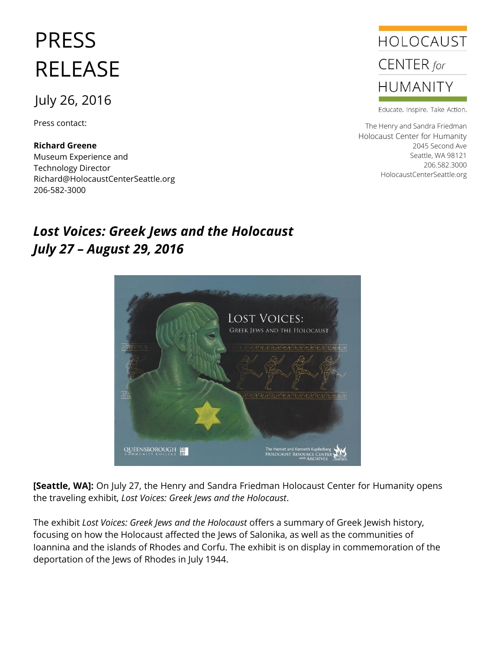## PRESS RELEASE

## July 26, 2016

Press contact:

**Richard Greene** Museum Experience and Technology Director Richard@HolocaustCenterSeattle.org 206-582-3000

## *Lost Voices: Greek Jews and the Holocaust July 27 – August 29, 2016*



**[Seattle, WA]:** On July 27, the Henry and Sandra Friedman Holocaust Center for Humanity opens the traveling exhibit, *Lost Voices: Greek Jews and the Holocaust*.

The exhibit *Lost Voices: Greek Jews and the Holocaust* offers a summary of Greek Jewish history, focusing on how the Holocaust affected the Jews of Salonika, as well as the communities of Ioannina and the islands of Rhodes and Corfu. The exhibit is on display in commemoration of the deportation of the Jews of Rhodes in July 1944.



Educate. Inspire. Take Action.

The Henry and Sandra Friedman Holocaust Center for Humanity 2045 Second Ave Seattle, WA 98121 206.582.3000 HolocaustCenterSeattle.org